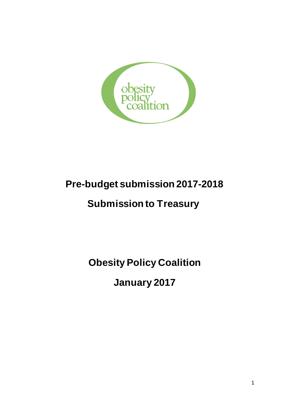

# **Pre-budget submission 2017-2018**

# **Submission to Treasury**

**Obesity Policy Coalition** 

**January 2017**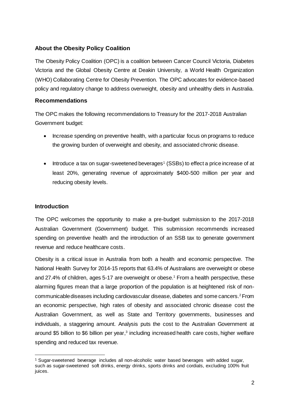## **About the Obesity Policy Coalition**

The Obesity Policy Coalition (OPC) is a coalition between Cancer Council Victoria, Diabetes Victoria and the Global Obesity Centre at Deakin University, a World Health Organization (WHO) Collaborating Centre for Obesity Prevention. The OPC advocates for evidence-based policy and regulatory change to address overweight, obesity and unhealthy diets in Australia.

## **Recommendations**

The OPC makes the following recommendations to Treasury for the 2017-2018 Australian Government budget:

- Increase spending on preventive health, with a particular focus on programs to reduce the growing burden of overweight and obesity, and associated chronic disease.
- Introduce a tax on sugar-sweetened beverages<sup>1</sup> (SSBs) to effect a price increase of at least 20%, generating revenue of approximately \$400-500 million per year and reducing obesity levels.

## **Introduction**

 $\overline{a}$ 

The OPC welcomes the opportunity to make a pre-budget submission to the 2017-2018 Australian Government (Government) budget. This submission recommends increased spending on preventive health and the introduction of an SSB tax to generate government revenue and reduce healthcare costs.

Obesity is a critical issue in Australia from both a health and economic perspective. The National Health Survey for 2014-15 reports that 63.4% of Australians are overweight or obese and 27.4% of children, ages 5-17 are overweight or obese.<sup>1</sup> From a health perspective, these alarming figures mean that a large proportion of the population is at heightened risk of noncommunicable diseases including cardiovascular disease, diabetes and some cancers.<sup>2</sup>From an economic perspective, high rates of obesity and associated chronic disease cost the Australian Government, as well as State and Territory governments, businesses and individuals, a staggering amount. Analysis puts the cost to the Australian Government at around \$5 billion to \$6 billion per year,<sup>3</sup> including increased health care costs, higher welfare spending and reduced tax revenue.

<sup>1</sup> Sugar-sweetened beverage includes all non-alcoholic water based beverages with added sugar, such as sugar-sweetened soft drinks, energy drinks, sports drinks and cordials, excluding 100% fruit juices.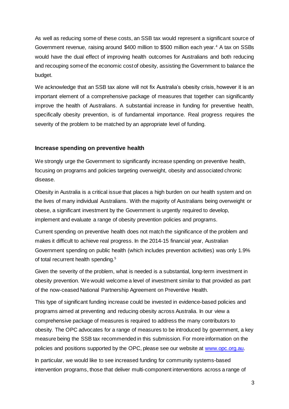As well as reducing some of these costs, an SSB tax would represent a significant source of Government revenue, raising around \$400 million to \$500 million each year.<sup>4</sup> A tax on SSBs would have the dual effect of improving health outcomes for Australians and both reducing and recouping some of the economic cost of obesity, assisting the Government to balance the budget.

We acknowledge that an SSB tax alone will not fix Australia's obesity crisis, however it is an important element of a comprehensive package of measures that together can significantly improve the health of Australians. A substantial increase in funding for preventive health, specifically obesity prevention, is of fundamental importance. Real progress requires the severity of the problem to be matched by an appropriate level of funding.

### **Increase spending on preventive health**

We strongly urge the Government to significantly increase spending on preventive health, focusing on programs and policies targeting overweight, obesity and associated chronic disease.

Obesity in Australia is a critical issue that places a high burden on our health system and on the lives of many individual Australians. With the majority of Australians being overweight or obese, a significant investment by the Government is urgently required to develop, implement and evaluate a range of obesity prevention policies and programs.

Current spending on preventive health does not match the significance of the problem and makes it difficult to achieve real progress. In the 2014-15 financial year, Australian Government spending on public health (which includes prevention activities) was only 1.9% of total recurrent health spending.<sup>5</sup>

Given the severity of the problem, what is needed is a substantial, long-term investment in obesity prevention. We would welcome a level of investment similar to that provided as part of the now-ceased National Partnership Agreement on Preventive Health.

This type of significant funding increase could be invested in evidence-based policies and programs aimed at preventing and reducing obesity across Australia. In our view a comprehensive package of measures is required to address the many contributors to obesity. The OPC advocates for a range of measures to be introduced by government, a key measure being the SSB tax recommended in this submission. For more information on the policies and positions supported by the OPC, please see our website at [www.opc.org.au.](http://www.opc.org.au/)

In particular, we would like to see increased funding for community systems-based intervention programs, those that deliver multi-component interventions across a range of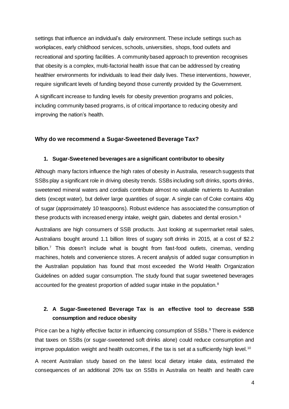settings that influence an individual's daily environment. These include settings such as workplaces, early childhood services, schools, universities, shops, food outlets and recreational and sporting facilities. A community based approach to prevention recognises that obesity is a complex, multi-factorial health issue that can be addressed by creating healthier environments for individuals to lead their daily lives. These interventions, however, require significant levels of funding beyond those currently provided by the Government.

A significant increase to funding levels for obesity prevention programs and policies, including community based programs, is of critical importance to reducing obesity and improving the nation's health.

#### **Why do we recommend a Sugar-Sweetened Beverage Tax?**

#### **1. Sugar-Sweetened beverages are a significant contributor to obesity**

Although many factors influence the high rates of obesity in Australia, research suggests that SSBs play a significant role in driving obesity trends. SSBs including soft drinks, sports drinks, sweetened mineral waters and cordials contribute almost no valuable nutrients to Australian diets (except water), but deliver large quantities of sugar. A single can of Coke contains 40g of sugar (approximately 10 teaspoons). Robust evidence has associated the consumption of these products with increased energy intake, weight gain, diabetes and dental erosion.<sup>6</sup>

Australians are high consumers of SSB products. Just looking at supermarket retail sales, Australians bought around 1.1 billion litres of sugary soft drinks in 2015, at a cost of \$2.2 billion.<sup>7</sup> This doesn't include what is bought from fast-food outlets, cinemas, vending machines, hotels and convenience stores. A recent analysis of added sugar consumption in the Australian population has found that most exceeded the World Health Organization Guidelines on added sugar consumption. The study found that sugar sweetened beverages accounted for the greatest proportion of added sugar intake in the population.<sup>8</sup>

# **2. A Sugar-Sweetened Beverage Tax is an effective tool to decrease SSB consumption and reduce obesity**

Price can be a highly effective factor in influencing consumption of SSBs.<sup>9</sup> There is evidence that taxes on SSBs (or sugar-sweetened soft drinks alone) could reduce consumption and improve population weight and health outcomes, if the tax is set at a sufficiently high level.<sup>10</sup>

A recent Australian study based on the latest local dietary intake data, estimated the consequences of an additional 20% tax on SSBs in Australia on health and health care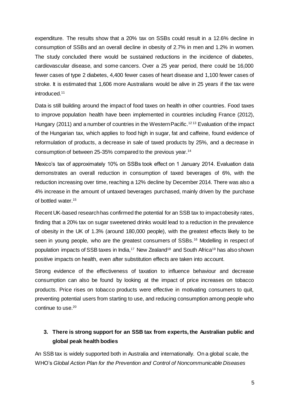expenditure. The results show that a 20% tax on SSBs could result in a 12.6% decline in consumption of SSBs and an overall decline in obesity of 2.7% in men and 1.2% in women. The study concluded there would be sustained reductions in the incidence of diabetes, cardiovascular disease, and some cancers. Over a 25 year period, there could be 16,000 fewer cases of type 2 diabetes, 4,400 fewer cases of heart disease and 1,100 fewer cases of stroke. It is estimated that 1,606 more Australians would be alive in 25 years if the tax were introduced. 11

Data is still building around the impact of food taxes on health in other countries. Food taxes to improve population health have been implemented in countries including France (2012), Hungary (2011) and a number of countries in the Western Pacific.<sup>1213</sup> Evaluation of the impact of the Hungarian tax, which applies to food high in sugar, fat and caffeine, found evidence of reformulation of products, a decrease in sale of taxed products by 25%, and a decrease in consumption of between 25-35% compared to the previous year.<sup>14</sup>

Mexico's tax of approximately 10% on SSBs took effect on 1 January 2014. Evaluation data demonstrates an overall reduction in consumption of taxed beverages of 6%, with the reduction increasing over time, reaching a 12% decline by December 2014. There was also a 4% increase in the amount of untaxed beverages purchased, mainly driven by the purchase of bottled water.<sup>15</sup>

Recent UK-based research has confirmed the potential for an SSB tax to impact obesity rates, finding that a 20% tax on sugar sweetened drinks would lead to a reduction in the prevalence of obesity in the UK of 1.3% (around 180,000 people), with the greatest effects likely to be seen in young people, who are the greatest consumers of SSBs.<sup>16</sup> Modelling in respect of population impacts of SSB taxes in India,<sup>17</sup> New Zealand<sup>18</sup> and South Africa<sup>19</sup> has also shown positive impacts on health, even after substitution effects are taken into account.

Strong evidence of the effectiveness of taxation to influence behaviour and decrease consumption can also be found by looking at the impact of price increases on tobacco products. Price rises on tobacco products were effective in motivating consumers to quit, preventing potential users from starting to use, and reducing consumption among people who continue to use.<sup>20</sup>

# **3. There is strong support for an SSB tax from experts, the Australian public and global peak health bodies**

An SSB tax is widely supported both in Australia and internationally. On a global scale, the WHO's *Global Action Plan for the Prevention and Control of Noncommunicable Diseases*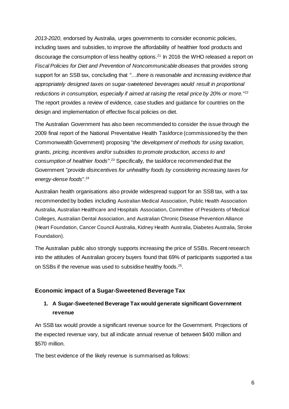*2013-2020*, endorsed by Australia, urges governments to consider economic policies, including taxes and subsidies, to improve the affordability of healthier food products and discourage the consumption of less healthy options. <sup>21</sup> In 2016 the WHO released a report on *Fiscal Policies for Diet and Prevention of Noncommunicable diseases* that provides strong support for an SSB tax, concluding that *"…there is reasonable and increasing evidence that appropriately designed taxes on sugar-sweetened beverages would result in proportional reductions in consumption, especially if aimed at raising the retail price by 20% or more.*" 22 The report provides a review of evidence, case studies and guidance for countries on the design and implementation of effective fiscal policies on diet.

The Australian Government has also been recommended to consider the issue through the 2009 final report of the National Preventative Health Taskforce (commissioned by the then Commonwealth Government) proposing "*the development of methods for using taxation, grants, pricing, incentives and/or subsidies to promote production, access to and consumption of healthier foods*".<sup>23</sup> Specifically, the taskforce recommended that the Government "*provide disincentives for unhealthy foods by considering increasing taxes for energy-dense foods*".<sup>24</sup>

Australian health organisations also provide widespread support for an SSB tax, with a tax recommended by bodies including Australian Medical Association, Public Health Association Australia, Australian Healthcare and Hospitals Association, Committee of Presidents of Medical Colleges, Australian Dental Association, and Australian Chronic Disease Prevention Alliance (Heart Foundation, Cancer Council Australia, Kidney Health Australia, Diabetes Australia, Stroke Foundation).

The Australian public also strongly supports increasing the price of SSBs. Recent research into the attitudes of Australian grocery buyers found that 69% of participants supported a tax on SSBs if the revenue was used to subsidise healthy foods.<sup>25</sup>.

## **Economic impact of a Sugar-Sweetened Beverage Tax**

# **1. A Sugar-Sweetened Beverage Tax would generate significant Government revenue**

An SSB tax would provide a significant revenue source for the Government. Projections of the expected revenue vary, but all indicate annual revenue of between \$400 million and \$570 million.

The best evidence of the likely revenue is summarised as follows: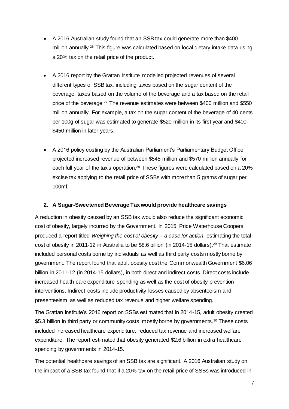- A 2016 Australian study found that an SSB tax could generate more than \$400 million annually.<sup>26</sup> This figure was calculated based on local dietary intake data using a 20% tax on the retail price of the product.
- A 2016 report by the Grattan Institute modelled projected revenues of several different types of SSB tax, including taxes based on the sugar content of the beverage, taxes based on the volume of the beverage and a tax based on the retail price of the beverage.<sup>27</sup> The revenue estimates were between \$400 million and \$550 million annually. For example, a tax on the sugar content of the beverage of 40 cents per 100g of sugar was estimated to generate \$520 million in its first year and \$400- \$450 million in later years.
- A 2016 policy costing by the Australian Parliament's Parliamentary Budget Office projected increased revenue of between \$545 million and \$570 million annually for each full year of the tax's operation.<sup>28</sup> These figures were calculated based on a 20% excise tax applying to the retail price of SSBs with more than 5 grams of sugar per 100ml.

## **2. A Sugar-Sweetened Beverage Tax would provide healthcare savings**

A reduction in obesity caused by an SSB tax would also reduce the significant economic cost of obesity, largely incurred by the Government. In 2015, Price Waterhouse Coopers produced a report titled *Weighing the cost of obesity – a case for action*, estimating the total cost of obesity in 2011-12 in Australia to be \$8.6 billion (in 2014-15 dollars).<sup>29</sup> That estimate included personal costs borne by individuals as well as third party costs mostly borne by government. The report found that adult obesity cost the Commonwealth Government \$6.06 billion in 2011-12 (in 2014-15 dollars), in both direct and indirect costs. Direct costs include increased health care expenditure spending as well as the cost of obesity prevention interventions. Indirect costs include productivity losses caused by absenteeism and presenteeism, as well as reduced tax revenue and higher welfare spending.

The Grattan Institute's 2016 report on SSBs estimated that in 2014-15, adult obesity created \$5.3 billion in third party or community costs, mostly borne by governments.<sup>30</sup> These costs included increased healthcare expenditure, reduced tax revenue and increased welfare expenditure. The report estimated that obesity generated \$2.6 billion in extra healthcare spending by governments in 2014-15.

The potential healthcare savings of an SSB tax are significant. A 2016 Australian study on the impact of a SSB tax found that if a 20% tax on the retail price of SSBs was introduced in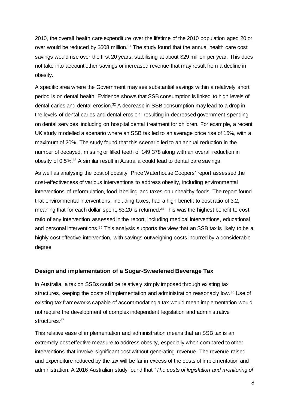2010, the overall health care expenditure over the lifetime of the 2010 population aged 20 or over would be reduced by \$608 million.<sup>31</sup> The study found that the annual health care cost savings would rise over the first 20 years, stabilising at about \$29 million per year. This does not take into account other savings or increased revenue that may result from a decline in obesity.

A specific area where the Government may see substantial savings within a relatively short period is on dental health. Evidence shows that SSB consumption is linked to high levels of dental caries and dental erosion. <sup>32</sup> A decrease in SSB consumption may lead to a drop in the levels of dental caries and dental erosion, resulting in decreased government spending on dental services, including on hospital dental treatment for children. For example, a recent UK study modelled a scenario where an SSB tax led to an average price rise of 15%, with a maximum of 20%. The study found that this scenario led to an annual reduction in the number of decayed, missing or filled teeth of 149 378 along with an overall reduction in obesity of 0.5%.<sup>33</sup> A similar result in Australia could lead to dental care savings.

As well as analysing the cost of obesity, Price Waterhouse Coopers' report assessed the cost-effectiveness of various interventions to address obesity, including environmental interventions of reformulation, food labelling and taxes on unhealthy foods. The report found that environmental interventions, including taxes, had a high benefit to cost ratio of 3.2, meaning that for each dollar spent, \$3.20 is returned.<sup>34</sup> This was the highest benefit to cost ratio of any intervention assessed in the report, including medical interventions, educational and personal interventions.<sup>35</sup> This analysis supports the view that an SSB tax is likely to be a highly cost effective intervention, with savings outweighing costs incurred by a considerable degree.

#### **Design and implementation of a Sugar-Sweetened Beverage Tax**

In Australia, a tax on SSBs could be relatively simply imposed through existing tax structures, keeping the costs of implementation and administration reasonably low.<sup>36</sup> Use of existing tax frameworks capable of accommodating a tax would mean implementation would not require the development of complex independent legislation and administrative structures.<sup>37</sup>

This relative ease of implementation and administration means that an SSB tax is an extremely cost effective measure to address obesity, especially when compared to other interventions that involve significant cost without generating revenue. The revenue raised and expenditure reduced by the tax will be far in excess of the costs of implementation and administration. A 2016 Australian study found that "*The costs of legislation and monitoring of*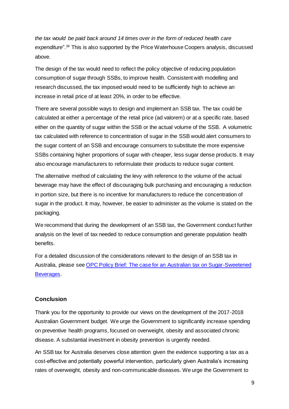*the tax would be paid back around 14 times over in the form of reduced health care expenditure*". <sup>38</sup> This is also supported by the Price Waterhouse Coopers analysis, discussed above.

The design of the tax would need to reflect the policy objective of reducing population consumption of sugar through SSBs, to improve health. Consistent with modelling and research discussed, the tax imposed would need to be sufficiently high to achieve an increase in retail price of at least 20%, in order to be effective.

There are several possible ways to design and implement an SSB tax. The tax could be calculated at either a percentage of the retail price (ad valorem) or at a specific rate, based either on the quantity of sugar within the SSB or the actual volume of the SSB. A volumetric tax calculated with reference to concentration of sugar in the SSB would alert consumers to the sugar content of an SSB and encourage consumers to substitute the more expensive SSBs containing higher proportions of sugar with cheaper, less sugar dense products. It may also encourage manufacturers to reformulate their products to reduce sugar content.

The alternative method of calculating the levy with reference to the volume of the actual beverage may have the effect of discouraging bulk purchasing and encouraging a reduction in portion size, but there is no incentive for manufacturers to reduce the concentration of sugar in the product. It may, however, be easier to administer as the volume is stated on the packaging.

We recommend that during the development of an SSB tax, the Government conduct further analysis on the level of tax needed to reduce consumption and generate population health benefits.

For a detailed discussion of the considerations relevant to the design of an SSB tax in Australia, please se[e OPC Policy Brief: The case for an Australian tax on Sugar-Sweetened](http://www.opc.org.au/downloads/positionpapers/policy-brief-australian-tax-sugar-sweetened-beverages.pdf)  [Beverages.](http://www.opc.org.au/downloads/positionpapers/policy-brief-australian-tax-sugar-sweetened-beverages.pdf)

# **Conclusion**

Thank you for the opportunity to provide our views on the development of the 2017-2018 Australian Government budget. We urge the Government to significantly increase spending on preventive health programs, focused on overweight, obesity and associated chronic disease. A substantial investment in obesity prevention is urgently needed.

An SSB tax for Australia deserves close attention given the evidence supporting a tax as a cost-effective and potentially powerful intervention, particularly given Australia's increasing rates of overweight, obesity and non-communicable diseases. We urge the Government to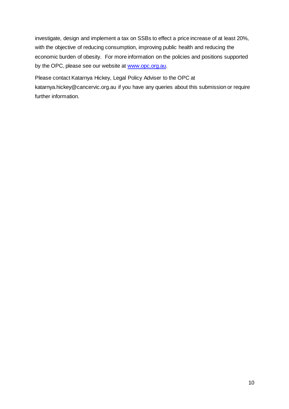investigate, design and implement a tax on SSBs to effect a price increase of at least 20%, with the objective of reducing consumption, improving public health and reducing the economic burden of obesity. For more information on the policies and positions supported by the OPC, please see our website at [www.opc.org.au.](http://www.opc.org.au/)

Please contact Katarnya Hickey, Legal Policy Adviser to the OPC at katarnya.hickey@cancervic.org.au if you have any queries about this submission or require further information.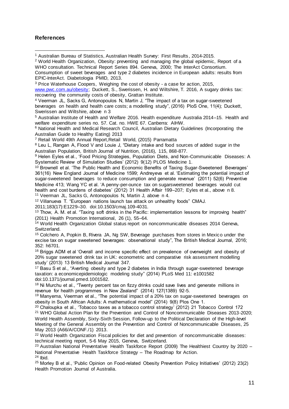### **References**

EPIC-InterAct. Diabetologia PMID, 2013.

<sup>5</sup> Australian Institute of Health and Welfare 2016. Health expenditure Australia 2014–15. Health and welfare expenditure series no. 57. Cat. no. HWE 67. Canberra: AIHW.

<sup>6</sup> National Health and Medical Research Council, Australian Dietary Guidelines (Incorporating the Australian Guide to Healthy Eating) 2013

<sup>7</sup> Retail World 49th Annual Report,Retail World, (2015) Parramatta

<sup>8</sup> Leu L, Rangan A, Flood V and Louie J, "Dietary intake and food sources of added sugar in the Australian Population, British Journal of Nutrition, (2016), 115, 868-877.

9 Helen Eyles et al., 'Food Pricing Strategies, Population Diets, and Non-Communicable Diseases: A Systematic Review of Simulation Studies' (2012) 9(12) PLOS Medicine 1.

<sup>10</sup> Brownell et al. 'The Public Health and Economic Benefits of Taxing Sugar-Sweetened Beverages' 361(16) New England Journal of Medicine 1599; Andreyeva et al. 'Estimating the potential impact of sugar-sweetened beverages to reduce consumption and generate revenue' (2011) 52(6) Preventive Medicine 413; Wang YC et al. 'A penny-per-ounce tax on sugarsweetened beverages would cut health and cost burdens of diabetes' (2012) 31 Health Affair 199–207; Eyles et al., above n 8. <sup>11</sup> Veerman JL, Sacks G, Antonopoulos N, Martin J, above n 4.

<sup>12</sup> Villanueva T. "European nations launch tax attack on unhealthy foods" CMAJ.

2011;183(17):E1229–30. doi:10.1503/cmaj.109-4031.

<sup>13</sup> Thow, A. M. et al. "Taxing soft drinks in the Pacific: implementation lessons for improving health" (2011) Health Promotion International, 26 (1), 55–64.

<sup>14</sup> World Health Organization Global status report on noncommunicable diseases 2014 Geneva, Switzerland.

<sup>15</sup> Colchero A, Popkin B, Rivera JA, Ng SW, Beverage purchases from stores in Mexico under the excise tax on sugar sweetened beverages: observational study", The British Medical Journal, 2016; 352: h6701.

<sup>16</sup> Briggs ADM et al 'Overall and income specific effect on prevalence of overweight and obesity of 20% sugar sweetened drink tax in UK: econometric and comparative risk assessment modelling study' (2013) 13 British Medical Journal 347.

<sup>17</sup> Basu S et al., "Averting obesity and type 2 diabetes in India through sugar-sweetened beverage taxation: a economicepidemiologic modeling study" (2014) PLoS Med 11: e1001582 doi:10.1371/journal.pmed.1001582.

<sup>18</sup> Ni Murchu et al., "Twenty percent tax on fizzy drinks could save lives and generate millions in revenue for health programmes in New Zealand" (2014) 127(1389) 92-5.

<sup>19</sup> Manyema, Veerman et al., "The potential impact of a 20% tax on sugar-sweetened beverages on obesity in South African Adults: A mathematical model" (2014) 9(8) Plos One 1.

<sup>20</sup> Chaloupka et al., 'Tobacco taxes as a tobacco control strategy' (2012) 21 Tobacco Control 172 <sup>21</sup> WHO Global Action Plan for the Prevention and Control of Noncommunicable Diseases 2013-2020; World Health Assembly, Sixty-Sixth Session, Follow-up to the Political Declaration of the High-level Meeting of the General Assembly on the Prevention and Control of Noncommunicable Diseases, 25 May 2013 (A66/A/CONF./1) 2013.

<sup>22</sup> World Health Organization Fiscal policies for diet and prevention of noncommunicable diseases: technical meeting report, 5-6 May 2015, Geneva, Switzerland.

 $23$  Australian National Preventative Health Taskforce Report (2009) The Healthiest Country by 2020 – National Preventative Health Taskforce Strategy – The Roadmap for Action.  $24$  Ibid.

<sup>25</sup> Morley B et al., 'Public Opinion on Food-related Obesity Prevention Policy Initiatives' (2012) 23(2) Health Promotion Journal of Australia.

<sup>1</sup> Australian Bureau of Statistics, Australian Health Survey: First Results, 2014-2015.  $\overline{a}$ 

<sup>2</sup> World Health Organization, Obesity: preventing and managing the global epidemic, Report of a WHO consultation. Technical Report Series 894. Geneva, 2000; The InterAct Consortium. Consumption of sweet beverages and type 2 diabetes incidence in European adults: results from

<sup>3</sup> Price Waterhouse Coopers, Weighing the cost of obesity - a case for action, 2015,

[www.pwc.com.au/obesity;](http://www.pwc.com.au/obesity) Duckett, S., Swerissen, H. and Wiltshire, T. 2016, A sugary drinks tax: recovering the community costs of obesity, Grattan Institute.

<sup>4</sup> Veerman JL, Sacks G, Antonopoulos N, Martin J, "The impact of a tax on sugar-sweetened beverages on health and health care costs; a modelling study", (2016) PloS One, 11(4); Duckett, Swerissen and Wiltshire, above n 3